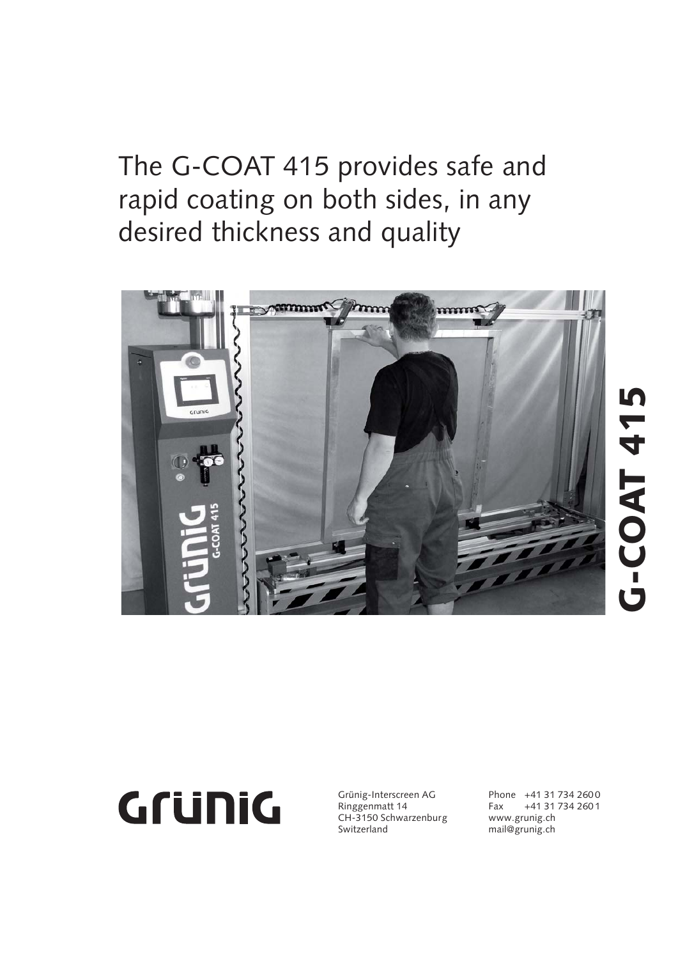The G-COAT 415 provides safe and rapid coating on both sides, in any desired thickness and quality





Grünig-Interscreen AG Ringgenmatt 14 CH-3150 Schwarzenburg Switzerland

Phone +41 31 734 2600 Fax +41 31 734 260 1 www.grunig.ch mail@grunig.ch